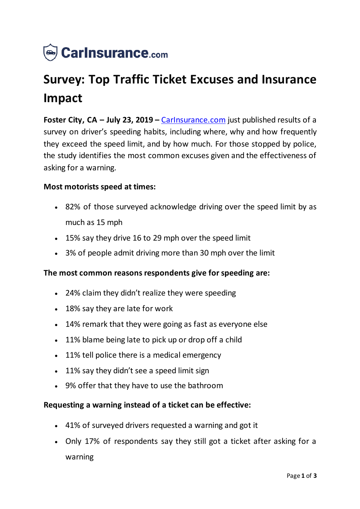

# **Survey: Top Traffic Ticket Excuses and Insurance Impact**

**Foster City, CA – July 23, 2019 –** [CarInsurance.com](https://www.carinsurance.com/) just published results of a survey on driver's speeding habits, including where, why and how frequently they exceed the speed limit, and by how much. For those stopped by police, the study identifies the most common excuses given and the effectiveness of asking for a warning.

### **Most motorists speed at times:**

- 82% of those surveyed acknowledge driving over the speed limit by as much as 15 mph
- 15% say they drive 16 to 29 mph over the speed limit
- 3% of people admit driving more than 30 mph over the limit

#### **The most common reasons respondents give for speeding are:**

- 24% claim they didn't realize they were speeding
- 18% say they are late for work
- 14% remark that they were going as fast as everyone else
- 11% blame being late to pick up or drop off a child
- 11% tell police there is a medical emergency
- 11% say they didn't see a speed limit sign
- 9% offer that they have to use the bathroom

#### **Requesting a warning instead of a ticket can be effective:**

- 41% of surveyed drivers requested a warning and got it
- Only 17% of respondents say they still got a ticket after asking for a warning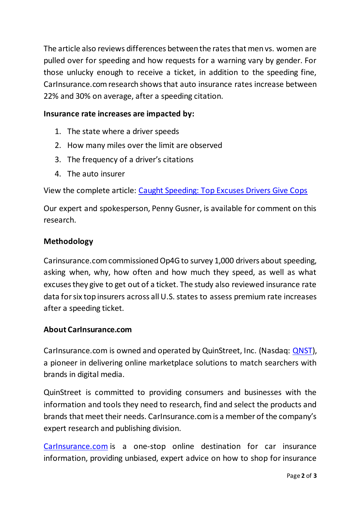The article also reviews differences between the rates that men vs. women are pulled over for speeding and how requests for a warning vary by gender. For those unlucky enough to receive a ticket, in addition to the speeding fine, CarInsurance.com research shows that auto insurance rates increase between 22% and 30% on average, after a speeding citation.

# **Insurance rate increases are impacted by:**

- 1. The state where a driver speeds
- 2. How many miles over the limit are observed
- 3. The frequency of a driver's citations
- 4. The auto insurer

View the complete article: [Caught Speeding: Top Excuses Drivers Give Cop](https://www.carinsurance.com/speeding-ticket-excuses)s

Our expert and spokesperson, Penny Gusner, is available for comment on this research.

## **Methodology**

Carinsurance.com commissioned Op4G to survey 1,000 drivers about speeding, asking when, why, how often and how much they speed, as well as what excuses they give to get out of a ticket. The study also reviewed insurance rate data for six top insurers across all U.S. states to assess premium rate increases after a speeding ticket.

## **About CarInsurance.com**

CarInsurance.com is owned and operated by QuinStreet, Inc. (Nasdaq: [QNST\)](https://www.nasdaq.com/market-activity/stocks/qnst), a pioneer in delivering online marketplace solutions to match searchers with brands in digital media.

QuinStreet is committed to providing consumers and businesses with the information and tools they need to research, find and select the products and brands that meet their needs. CarInsurance.com is a member of the company's expert research and publishing division.

[CarInsurance.com](https://www.carinsurance.com/) is a one-stop online destination for car insurance information, providing unbiased, expert advice on how to shop for insurance